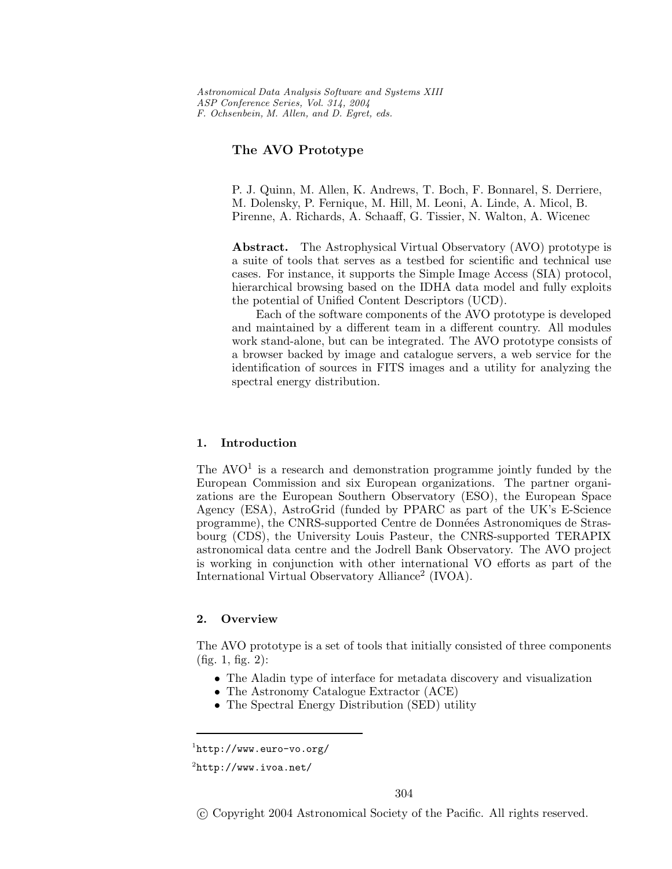*Astronomical Data Analysis Software and Systems XIII ASP Conference Series, Vol. 314, 2004 F. Ochsenbein, M. Allen, and D. Egret, eds.*

## **The AVO Prototype**

P. J. Quinn, M. Allen, K. Andrews, T. Boch, F. Bonnarel, S. Derriere, M. Dolensky, P. Fernique, M. Hill, M. Leoni, A. Linde, A. Micol, B. Pirenne, A. Richards, A. Schaaff, G. Tissier, N. Walton, A. Wicenec

**Abstract.** The Astrophysical Virtual Observatory (AVO) prototype is a suite of tools that serves as a testbed for scientific and technical use cases. For instance, it supports the Simple Image Access (SIA) protocol, hierarchical browsing based on the IDHA data model and fully exploits the potential of Unified Content Descriptors (UCD).

Each of the software components of the AVO prototype is developed and maintained by a different team in a different country. All modules work stand-alone, but can be integrated. The AVO prototype consists of a browser backed by image and catalogue servers, a web service for the identification of sources in FITS images and a utility for analyzing the spectral energy distribution.

### **1. Introduction**

The  $\rm{AVO}^1$  is a research and demonstration programme jointly funded by the European Commission and six European organizations. The partner organizations are the European Southern Observatory (ESO), the European Space Agency (ESA), AstroGrid (funded by PPARC as part of the UK's E-Science programme), the CNRS-supported Centre de Données Astronomiques de Strasbourg (CDS), the University Louis Pasteur, the CNRS-supported TERAPIX astronomical data centre and the Jodrell Bank Observatory. The AVO project is working in conjunction with other international VO efforts as part of the International Virtual Observatory Alliance<sup>2</sup> (IVOA).

### **2. Overview**

The AVO prototype is a set of tools that initially consisted of three components (fig. 1, fig. 2):

- The Aladin type of interface for metadata discovery and visualization
- The Astronomy Catalogue Extractor (ACE)
- The Spectral Energy Distribution (SED) utility

-c Copyright 2004 Astronomical Society of the Pacific. All rights reserved.

<sup>1</sup> $\mathbf{h}$ 

 $^{2}$ http://www.ivoa.net/ http://www.ivoa.net/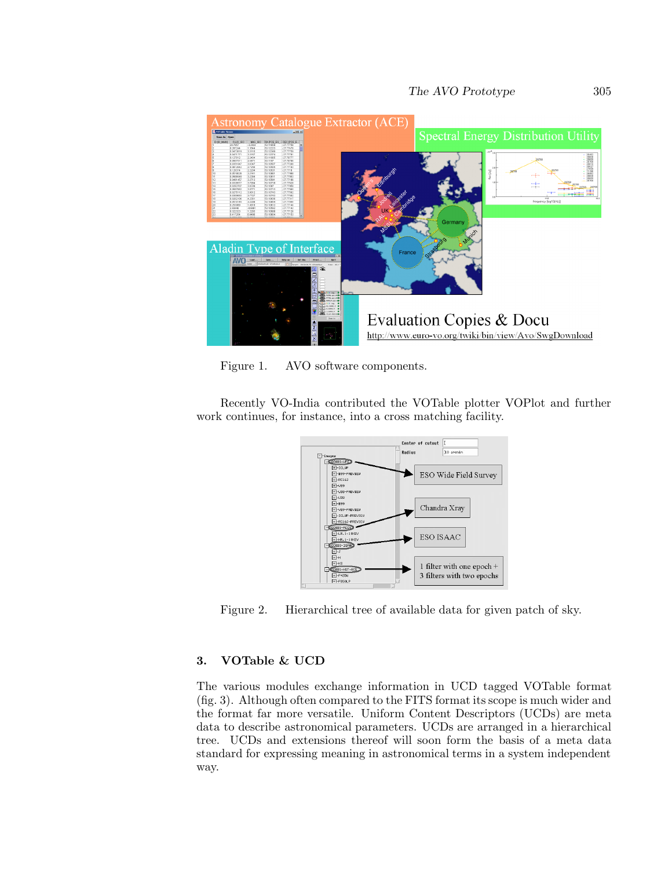stronomy Catalogue Extractor (ACE) **Spectral Energy Distribution Utility** 112223<br>112349<br>112374<br>111965<br>11977<br>110507<br>110501<br>110501<br>110501<br>110501<br>110501 77759<br>77751<br>777517208<br>77208<br>77182<br>77182<br>77852<br>77582<br>77582<br>77582<br>77582 Aladin Type of Interface  $AVO<sub>max</sub>$  $\frac{1}{2}$  see. .  $\begin{array}{|c|c|c|c|}\hline \text{Relp on} & \text{Retrbar} \end{array}$ ౹ౚ **Evaluation Copies & Docu** 

Figure 1. AVO software components.

Recently VO-India contributed the VOTable plotter VOPlot and further work continues, for instance, into a cross matching facility.

http://www.euro-vo.org/twiki/bin/view/Avo/SwgDownload



Figure 2. Hierarchical tree of available data for given patch of sky.

# **3. VOTable & UCD**

The various modules exchange information in UCD tagged VOTable format (fig. 3). Although often compared to the FITS format its scope is much wider and the format far more versatile. Uniform Content Descriptors (UCDs) are meta data to describe astronomical parameters. UCDs are arranged in a hierarchical tree. UCDs and extensions thereof will soon form the basis of a meta data standard for expressing meaning in astronomical terms in a system independent way.